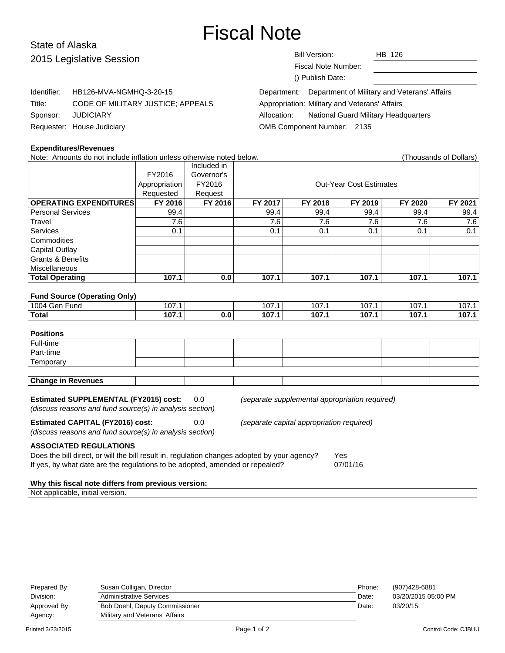# Fiscal Note

## State of Alaska 2015 Legislative Session

Identifier: HB126-MVA-NGMHQ-3-20-15

Title: CODE OF MILITARY JUSTICE; APPEALS

| Bill Version:       | HB 126 |
|---------------------|--------|
| Fiscal Note Number: |        |
| () Publish Date:    |        |

|                                               | Department: Department of Military and Veterans' Affairs |
|-----------------------------------------------|----------------------------------------------------------|
| Appropriation: Military and Veterans' Affairs |                                                          |
|                                               | Allocation: National Guard Military Headquarters         |
| OMB Component Number: 2135                    |                                                          |
|                                               |                                                          |

#### **Expenditures/Revenues**

Sponsor: JUDICIARY Requester: House Judiciary

Note: Amounts do not include inflation unless otherwise noted below. (Thousands of Dollars) Included in FY2016 Governor's Appropriation FY2016 | CONSIDENTIFY CONSIDENT CONTRACTS CONTRACTS Requested | Request **OPERATING EXPENDITURES FY 2016 FY 2016 FY 2017 FY 2018 FY 2019 FY 2020 FY 2021** Personal Services 99.4 99.4 99.4 99.4 99.4 99.4 Travel | 7.6 | 7.6 | 7.6 | 7.6 | 7.6 Services | 0.1 | | 0.1 | 0.1 | 0.1 | 0.1 | 0.1 **Commodities** Capital Outlay Grants & Benefits **Miscellaneous Total Operating 107.1 0.0 107.1 107.1 107.1 107.1 107.1 Fund Source (Operating Only)** 1004 Gen Fund 107.1 107.1 107.1 107.1 107.1 107.1 107.1 107.1 107.1 107.1 **Total 107.1 0.0 107.1 107.1 107.1 107.1 107.1 Positions** Full-time Part-time **Temporary Change in Revenues**

**Estimated SUPPLEMENTAL (FY2015) cost:** 0.0 (separate supplemental appropriation required)

(discuss reasons and fund source(s) in analysis section)

**Estimated CAPITAL (FY2016) cost:** 0.0 (separate capital appropriation required)

(discuss reasons and fund source(s) in analysis section)

**ASSOCIATED REGULATIONS**

Does the bill direct, or will the bill result in, regulation changes adopted by your agency? Yes If yes, by what date are the regulations to be adopted, amended or repealed? 07/01/16

#### **Why this fiscal note differs from previous version:**

Not applicable, initial version.

| Prepared By: | Susan Colligan, Director              | Phone: | (907)428-6881       |
|--------------|---------------------------------------|--------|---------------------|
| Division:    | <b>Administrative Services</b>        | Date:  | 03/20/2015 05:00 PM |
| Approved By: | <b>Bob Doehl, Deputy Commissioner</b> | Date:  | 03/20/15            |
| Agency:      | Military and Veterans' Affairs        |        |                     |